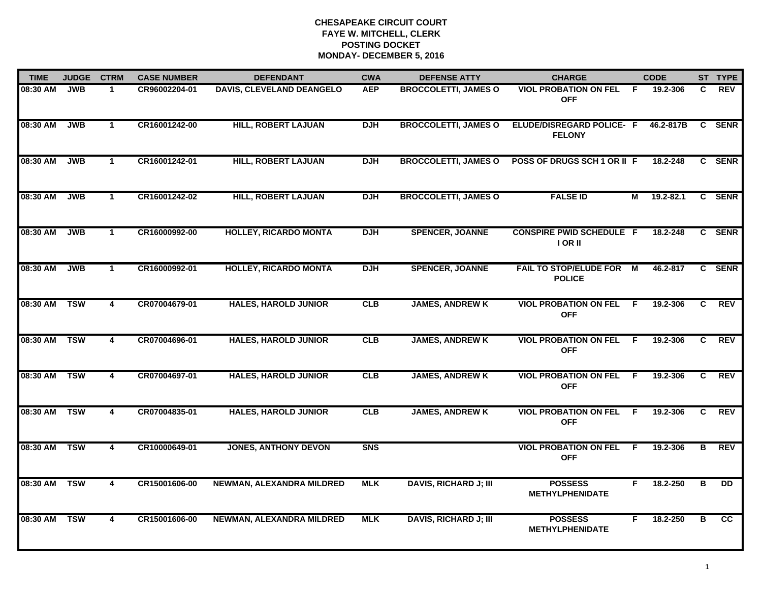| <b>TIME</b>  | <b>JUDGE</b> | <b>CTRM</b>  | <b>CASE NUMBER</b> | <b>DEFENDANT</b>                 | <b>CWA</b> | <b>DEFENSE ATTY</b>          | <b>CHARGE</b>                                     |     | <b>CODE</b> |    | ST TYPE     |
|--------------|--------------|--------------|--------------------|----------------------------------|------------|------------------------------|---------------------------------------------------|-----|-------------|----|-------------|
| 08:30 AM     | <b>JWB</b>   | 1.           | CR96002204-01      | <b>DAVIS, CLEVELAND DEANGELO</b> | <b>AEP</b> | <b>BROCCOLETTI, JAMES O</b>  | <b>VIOL PROBATION ON FEL</b><br><b>OFF</b>        | -F. | 19.2-306    | C  | <b>REV</b>  |
| 08:30 AM     | <b>JWB</b>   | $\mathbf{1}$ | CR16001242-00      | <b>HILL, ROBERT LAJUAN</b>       | <b>DJH</b> | <b>BROCCOLETTI, JAMES O</b>  | <b>ELUDE/DISREGARD POLICE- F</b><br><b>FELONY</b> |     | 46.2-817B   | C. | <b>SENR</b> |
| 08:30 AM     | <b>JWB</b>   | $\mathbf{1}$ | CR16001242-01      | <b>HILL, ROBERT LAJUAN</b>       | <b>DJH</b> | <b>BROCCOLETTI, JAMES O</b>  | POSS OF DRUGS SCH 1 OR II F                       |     | 18.2-248    |    | C SENR      |
| 08:30 AM     | <b>JWB</b>   | $\mathbf 1$  | CR16001242-02      | <b>HILL, ROBERT LAJUAN</b>       | <b>DJH</b> | <b>BROCCOLETTI, JAMES O</b>  | <b>FALSE ID</b>                                   | М   | 19.2-82.1   |    | C SENR      |
| 08:30 AM     | <b>JWB</b>   | $\mathbf{1}$ | CR16000992-00      | <b>HOLLEY, RICARDO MONTA</b>     | <b>DJH</b> | <b>SPENCER, JOANNE</b>       | <b>CONSPIRE PWID SCHEDULE F</b><br>I OR II        |     | 18.2-248    |    | C SENR      |
| 08:30 AM     | JWB          | $\mathbf{1}$ | CR16000992-01      | <b>HOLLEY, RICARDO MONTA</b>     | DJH        | <b>SPENCER, JOANNE</b>       | FAIL TO STOP/ELUDE FOR M<br><b>POLICE</b>         |     | 46.2-817    |    | C SENR      |
| 08:30 AM TSW |              | 4            | CR07004679-01      | <b>HALES, HAROLD JUNIOR</b>      | CLB        | <b>JAMES, ANDREW K</b>       | <b>VIOL PROBATION ON FEL F</b><br><b>OFF</b>      |     | 19.2-306    | C  | <b>REV</b>  |
| 08:30 AM TSW |              | 4            | CR07004696-01      | <b>HALES, HAROLD JUNIOR</b>      | CLB        | <b>JAMES, ANDREW K</b>       | <b>VIOL PROBATION ON FEL</b><br><b>OFF</b>        | - F | 19.2-306    | C. | <b>REV</b>  |
| 08:30 AM     | <b>TSW</b>   | 4            | CR07004697-01      | <b>HALES, HAROLD JUNIOR</b>      | CLB        | <b>JAMES, ANDREW K</b>       | <b>VIOL PROBATION ON FEL</b><br><b>OFF</b>        | F.  | 19.2-306    | C  | <b>REV</b>  |
| 08:30 AM     | <b>TSW</b>   | 4            | CR07004835-01      | <b>HALES, HAROLD JUNIOR</b>      | CLB        | <b>JAMES, ANDREW K</b>       | <b>VIOL PROBATION ON FEL</b><br><b>OFF</b>        | E   | 19.2-306    | C. | <b>REV</b>  |
| 08:30 AM TSW |              | 4            | CR10000649-01      | <b>JONES, ANTHONY DEVON</b>      | <b>SNS</b> |                              | <b>VIOL PROBATION ON FEL</b><br><b>OFF</b>        | -F  | 19.2-306    | В  | <b>REV</b>  |
| 08:30 AM TSW |              | 4            | CR15001606-00      | NEWMAN, ALEXANDRA MILDRED        | <b>MLK</b> | <b>DAVIS, RICHARD J; III</b> | <b>POSSESS</b><br><b>METHYLPHENIDATE</b>          | F.  | 18.2-250    | в  | <b>DD</b>   |
| 08:30 AM     | <b>TSW</b>   | 4            | CR15001606-00      | NEWMAN, ALEXANDRA MILDRED        | <b>MLK</b> | <b>DAVIS, RICHARD J; III</b> | <b>POSSESS</b><br><b>METHYLPHENIDATE</b>          | F.  | 18.2-250    | в  | cc          |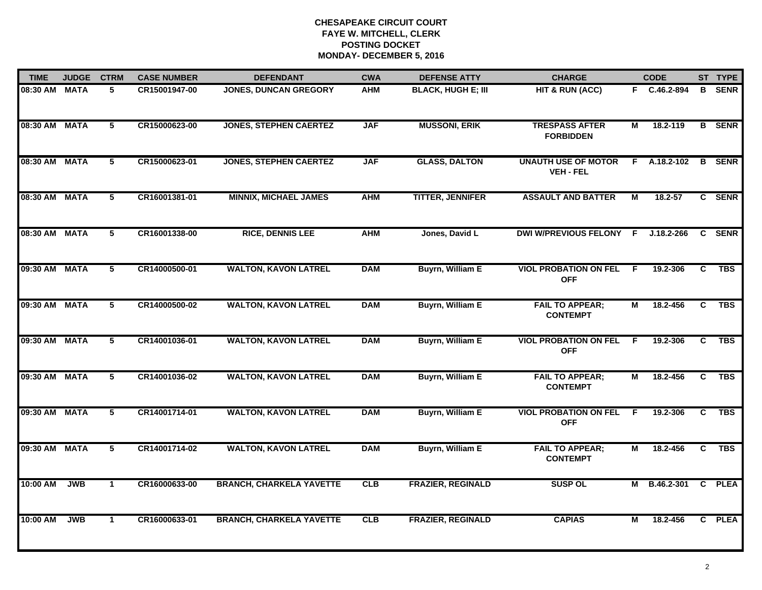| <b>TIME</b>   | <b>JUDGE</b> | <b>CTRM</b>     | <b>CASE NUMBER</b> | <b>DEFENDANT</b>                | <b>CWA</b> | <b>DEFENSE ATTY</b>       | <b>CHARGE</b>                                  |                | <b>CODE</b>    |                | ST TYPE       |
|---------------|--------------|-----------------|--------------------|---------------------------------|------------|---------------------------|------------------------------------------------|----------------|----------------|----------------|---------------|
| 08:30 AM MATA |              | 5               | CR15001947-00      | JONES, DUNCAN GREGORY           | <b>AHM</b> | <b>BLACK, HUGH E; III</b> | HIT & RUN (ACC)                                |                | F C.46.2-894   |                | <b>B</b> SENR |
| 08:30 AM MATA |              | $5\overline{ }$ | CR15000623-00      | <b>JONES, STEPHEN CAERTEZ</b>   | <b>JAF</b> | <b>MUSSONI, ERIK</b>      | <b>TRESPASS AFTER</b><br><b>FORBIDDEN</b>      | М              | 18.2-119       |                | <b>B</b> SENR |
| 08:30 AM MATA |              | 5               | CR15000623-01      | <b>JONES, STEPHEN CAERTEZ</b>   | <b>JAF</b> | <b>GLASS, DALTON</b>      | <b>UNAUTH USE OF MOTOR</b><br><b>VEH - FEL</b> | F.             | A.18.2-102     |                | <b>B</b> SENR |
| 08:30 AM MATA |              | 5               | CR16001381-01      | <b>MINNIX, MICHAEL JAMES</b>    | <b>AHM</b> | <b>TITTER, JENNIFER</b>   | <b>ASSAULT AND BATTER</b>                      | М              | $18.2 - 57$    |                | C SENR        |
| 08:30 AM MATA |              | 5               | CR16001338-00      | <b>RICE, DENNIS LEE</b>         | <b>AHM</b> | Jones, David L            | <b>DWI W/PREVIOUS FELONY</b>                   | F.             | $J.18.2 - 266$ | $\mathbf{c}$   | <b>SENR</b>   |
| 09:30 AM MATA |              | 5               | CR14000500-01      | <b>WALTON, KAVON LATREL</b>     | <b>DAM</b> | <b>Buyrn, William E</b>   | <b>VIOL PROBATION ON FEL</b><br><b>OFF</b>     | F              | 19.2-306       | C              | <b>TBS</b>    |
| 09:30 AM MATA |              | $\overline{5}$  | CR14000500-02      | <b>WALTON, KAVON LATREL</b>     | <b>DAM</b> | <b>Buyrn, William E</b>   | <b>FAIL TO APPEAR;</b><br><b>CONTEMPT</b>      | $\overline{M}$ | 18.2-456       | $\overline{c}$ | <b>TBS</b>    |
| 09:30 AM MATA |              | 5               | CR14001036-01      | <b>WALTON, KAVON LATREL</b>     | <b>DAM</b> | <b>Buyrn, William E</b>   | <b>VIOL PROBATION ON FEL</b><br><b>OFF</b>     | F.             | 19.2-306       | C              | <b>TBS</b>    |
| 09:30 AM      | <b>MATA</b>  | 5               | CR14001036-02      | <b>WALTON, KAVON LATREL</b>     | <b>DAM</b> | <b>Buyrn, William E</b>   | <b>FAIL TO APPEAR;</b><br><b>CONTEMPT</b>      | М              | 18.2-456       | C              | <b>TBS</b>    |
| 09:30 AM MATA |              | 5               | CR14001714-01      | <b>WALTON, KAVON LATREL</b>     | <b>DAM</b> | <b>Buyrn, William E</b>   | <b>VIOL PROBATION ON FEL</b><br><b>OFF</b>     | -F             | 19.2-306       | C.             | <b>TBS</b>    |
| 09:30 AM MATA |              | $5\overline{)}$ | CR14001714-02      | <b>WALTON, KAVON LATREL</b>     | <b>DAM</b> | <b>Buyrn, William E</b>   | <b>FAIL TO APPEAR;</b><br><b>CONTEMPT</b>      | М              | 18.2-456       | C              | TBS           |
| 10:00 AM      | <b>JWB</b>   | $\mathbf{1}$    | CR16000633-00      | <b>BRANCH, CHARKELA YAVETTE</b> | CLB        | <b>FRAZIER, REGINALD</b>  | <b>SUSP OL</b>                                 |                | M B.46.2-301   |                | C PLEA        |
| 10:00 AM      | <b>JWB</b>   | $\mathbf{1}$    | CR16000633-01      | <b>BRANCH, CHARKELA YAVETTE</b> | <b>CLB</b> | <b>FRAZIER, REGINALD</b>  | <b>CAPIAS</b>                                  | м              | 18.2-456       |                | C PLEA        |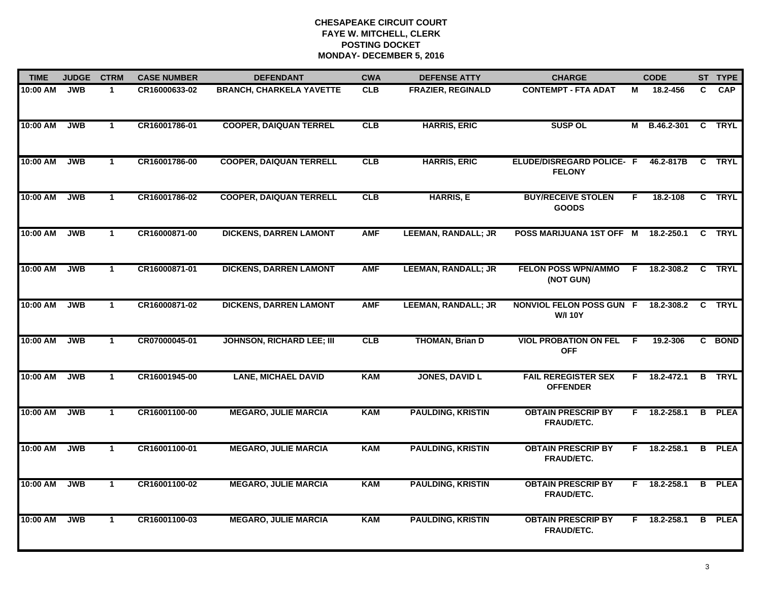| <b>TIME</b> | <b>JUDGE</b> | <b>CTRM</b>  | <b>CASE NUMBER</b> | <b>DEFENDANT</b>                 | <b>CWA</b> | <b>DEFENSE ATTY</b>        | <b>CHARGE</b>                                  |    | <b>CODE</b>    |    | ST TYPE       |
|-------------|--------------|--------------|--------------------|----------------------------------|------------|----------------------------|------------------------------------------------|----|----------------|----|---------------|
| 10:00 AM    | <b>JWB</b>   | $\mathbf{1}$ | CR16000633-02      | <b>BRANCH, CHARKELA YAVETTE</b>  | CLB        | <b>FRAZIER, REGINALD</b>   | <b>CONTEMPT - FTA ADAT</b>                     | М  | 18.2-456       | C. | <b>CAP</b>    |
| 10:00 AM    | <b>JWB</b>   | $\mathbf{1}$ | CR16001786-01      | <b>COOPER, DAIQUAN TERREL</b>    | CLB        | <b>HARRIS, ERIC</b>        | <b>SUSP OL</b>                                 | М  | B.46.2-301     | C  | <b>TRYL</b>   |
| 10:00 AM    | <b>JWB</b>   | $\mathbf{1}$ | CR16001786-00      | <b>COOPER, DAIQUAN TERRELL</b>   | CLB        | <b>HARRIS, ERIC</b>        | ELUDE/DISREGARD POLICE- F<br><b>FELONY</b>     |    | 46.2-817B      |    | C TRYL        |
| 10:00 AM    | <b>JWB</b>   | $\mathbf{1}$ | CR16001786-02      | <b>COOPER, DAIQUAN TERRELL</b>   | CLB        | <b>HARRIS, E</b>           | <b>BUY/RECEIVE STOLEN</b><br><b>GOODS</b>      | F. | 18.2-108       |    | C TRYL        |
| 10:00 AM    | <b>JWB</b>   | $\mathbf{1}$ | CR16000871-00      | <b>DICKENS, DARREN LAMONT</b>    | <b>AMF</b> | <b>LEEMAN, RANDALL; JR</b> | POSS MARIJUANA 1ST OFF M                       |    | 18.2-250.1     | C. | <b>TRYL</b>   |
| 10:00 AM    | <b>JWB</b>   | $\mathbf{1}$ | CR16000871-01      | <b>DICKENS, DARREN LAMONT</b>    | <b>AMF</b> | <b>LEEMAN, RANDALL; JR</b> | <b>FELON POSS WPN/AMMO</b><br>(NOT GUN)        | E  | 18.2-308.2     |    | C TRYL        |
| 10:00 AM    | <b>JWB</b>   | $\mathbf{1}$ | CR16000871-02      | <b>DICKENS, DARREN LAMONT</b>    | <b>AMF</b> | <b>LEEMAN, RANDALL; JR</b> | NONVIOL FELON POSS GUN F<br><b>W/I 10Y</b>     |    | 18.2-308.2     | C  | <b>TRYL</b>   |
| 10:00 AM    | <b>JWB</b>   | $\mathbf{1}$ | CR07000045-01      | <b>JOHNSON, RICHARD LEE; III</b> | CLB        | <b>THOMAN, Brian D</b>     | <b>VIOL PROBATION ON FEL</b><br><b>OFF</b>     | E  | 19.2-306       |    | C BOND        |
| 10:00 AM    | <b>JWB</b>   | $\mathbf{1}$ | CR16001945-00      | <b>LANE, MICHAEL DAVID</b>       | <b>KAM</b> | <b>JONES, DAVID L</b>      | <b>FAIL REREGISTER SEX</b><br><b>OFFENDER</b>  |    | $F$ 18.2-472.1 |    | <b>B</b> TRYL |
| 10:00 AM    | <b>JWB</b>   | $\mathbf{1}$ | CR16001100-00      | <b>MEGARO, JULIE MARCIA</b>      | <b>KAM</b> | <b>PAULDING, KRISTIN</b>   | <b>OBTAIN PRESCRIP BY</b><br>FRAUD/ETC.        | F. | 18.2-258.1     | B  | <b>PLEA</b>   |
| 10:00 AM    | <b>JWB</b>   | $\mathbf{1}$ | CR16001100-01      | <b>MEGARO, JULIE MARCIA</b>      | <b>KAM</b> | <b>PAULDING, KRISTIN</b>   | <b>OBTAIN PRESCRIP BY</b><br><b>FRAUD/ETC.</b> | F  | 18.2-258.1     |    | <b>B</b> PLEA |
| 10:00 AM    | <b>JWB</b>   | $\mathbf{1}$ | CR16001100-02      | <b>MEGARO, JULIE MARCIA</b>      | <b>KAM</b> | <b>PAULDING, KRISTIN</b>   | <b>OBTAIN PRESCRIP BY</b><br><b>FRAUD/ETC.</b> | F. | 18.2-258.1     | B  | <b>PLEA</b>   |
| 10:00 AM    | <b>JWB</b>   | $\mathbf{1}$ | CR16001100-03      | <b>MEGARO, JULIE MARCIA</b>      | <b>KAM</b> | <b>PAULDING, KRISTIN</b>   | <b>OBTAIN PRESCRIP BY</b><br>FRAUD/ETC.        | F. | 18.2-258.1     |    | <b>B</b> PLEA |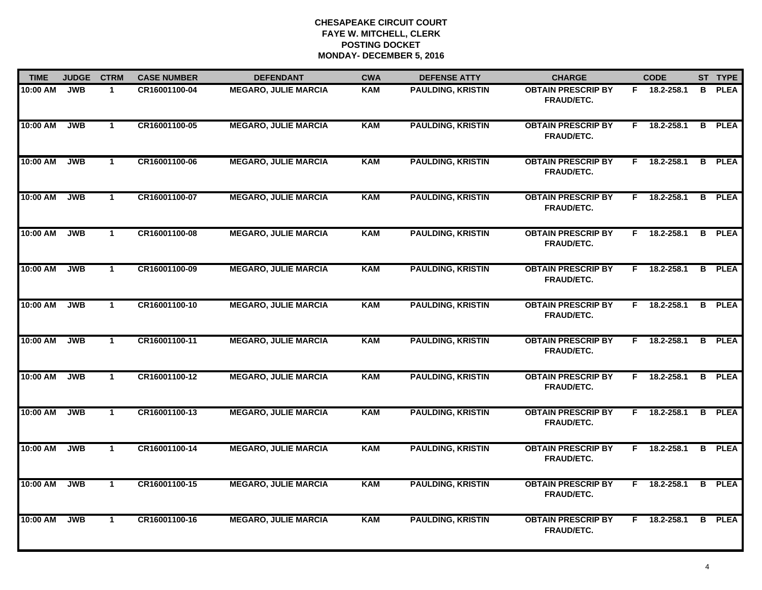| <b>TIME</b> | <b>JUDGE</b> | <b>CTRM</b>  | <b>CASE NUMBER</b> | <b>DEFENDANT</b>            | <b>CWA</b> | <b>DEFENSE ATTY</b>      | <b>CHARGE</b>                                  | <b>CODE</b> |                |    | ST TYPE       |
|-------------|--------------|--------------|--------------------|-----------------------------|------------|--------------------------|------------------------------------------------|-------------|----------------|----|---------------|
| 10:00 AM    | <b>JWB</b>   | $\mathbf{1}$ | CR16001100-04      | <b>MEGARO, JULIE MARCIA</b> | <b>KAM</b> | <b>PAULDING, KRISTIN</b> | <b>OBTAIN PRESCRIP BY</b><br>FRAUD/ETC.        |             | F 18.2-258.1   | B. | <b>PLEA</b>   |
| 10:00 AM    | <b>JWB</b>   | $\mathbf{1}$ | CR16001100-05      | <b>MEGARO, JULIE MARCIA</b> | <b>KAM</b> | <b>PAULDING, KRISTIN</b> | <b>OBTAIN PRESCRIP BY</b><br>FRAUD/ETC.        | F.          | 18.2-258.1     |    | <b>B</b> PLEA |
| 10:00 AM    | <b>JWB</b>   | $\mathbf{1}$ | CR16001100-06      | <b>MEGARO, JULIE MARCIA</b> | <b>KAM</b> | <b>PAULDING, KRISTIN</b> | <b>OBTAIN PRESCRIP BY</b><br>FRAUD/ETC.        | F.          | 18.2-258.1     |    | <b>B</b> PLEA |
| 10:00 AM    | <b>JWB</b>   | $\mathbf 1$  | CR16001100-07      | <b>MEGARO, JULIE MARCIA</b> | KAM        | <b>PAULDING, KRISTIN</b> | <b>OBTAIN PRESCRIP BY</b><br><b>FRAUD/ETC.</b> |             | F 18.2-258.1   |    | <b>B</b> PLEA |
| 10:00 AM    | <b>JWB</b>   | $\mathbf{1}$ | CR16001100-08      | <b>MEGARO, JULIE MARCIA</b> | <b>KAM</b> | <b>PAULDING, KRISTIN</b> | <b>OBTAIN PRESCRIP BY</b><br>FRAUD/ETC.        |             | F 18.2-258.1   |    | <b>B</b> PLEA |
| 10:00 AM    | <b>JWB</b>   | $\mathbf{1}$ | CR16001100-09      | <b>MEGARO, JULIE MARCIA</b> | <b>KAM</b> | <b>PAULDING, KRISTIN</b> | <b>OBTAIN PRESCRIP BY</b><br>FRAUD/ETC.        |             | F 18.2-258.1   |    | <b>B</b> PLEA |
| 10:00 AM    | <b>JWB</b>   | $\mathbf{1}$ | CR16001100-10      | <b>MEGARO, JULIE MARCIA</b> | <b>KAM</b> | <b>PAULDING, KRISTIN</b> | <b>OBTAIN PRESCRIP BY</b><br>FRAUD/ETC.        | F.          | 18.2-258.1     |    | <b>B</b> PLEA |
| 10:00 AM    | <b>JWB</b>   | $\mathbf{1}$ | CR16001100-11      | <b>MEGARO, JULIE MARCIA</b> | <b>KAM</b> | <b>PAULDING, KRISTIN</b> | <b>OBTAIN PRESCRIP BY</b><br><b>FRAUD/ETC.</b> | F.          | 18.2-258.1     |    | <b>B</b> PLEA |
| 10:00 AM    | <b>JWB</b>   | $\mathbf{1}$ | CR16001100-12      | <b>MEGARO, JULIE MARCIA</b> | <b>KAM</b> | <b>PAULDING, KRISTIN</b> | <b>OBTAIN PRESCRIP BY</b><br><b>FRAUD/ETC.</b> | F.          | 18.2-258.1     | B  | <b>PLEA</b>   |
| 10:00 AM    | <b>JWB</b>   | $\mathbf{1}$ | CR16001100-13      | <b>MEGARO, JULIE MARCIA</b> | <b>KAM</b> | <b>PAULDING, KRISTIN</b> | <b>OBTAIN PRESCRIP BY</b><br>FRAUD/ETC.        |             | $F$ 18.2-258.1 |    | <b>B</b> PLEA |
| 10:00 AM    | <b>JWB</b>   | $\mathbf{1}$ | CR16001100-14      | <b>MEGARO, JULIE MARCIA</b> | <b>KAM</b> | <b>PAULDING, KRISTIN</b> | <b>OBTAIN PRESCRIP BY</b><br><b>FRAUD/ETC.</b> |             | $F$ 18.2-258.1 |    | <b>B</b> PLEA |
| 10:00 AM    | <b>JWB</b>   | $\mathbf 1$  | CR16001100-15      | <b>MEGARO, JULIE MARCIA</b> | <b>KAM</b> | <b>PAULDING, KRISTIN</b> | <b>OBTAIN PRESCRIP BY</b><br>FRAUD/ETC.        | F.          | 18.2-258.1     |    | <b>B</b> PLEA |
| 10:00 AM    | <b>JWB</b>   | $\mathbf{1}$ | CR16001100-16      | <b>MEGARO, JULIE MARCIA</b> | <b>KAM</b> | <b>PAULDING, KRISTIN</b> | <b>OBTAIN PRESCRIP BY</b><br>FRAUD/ETC.        | F.          | 18.2-258.1     |    | <b>B</b> PLEA |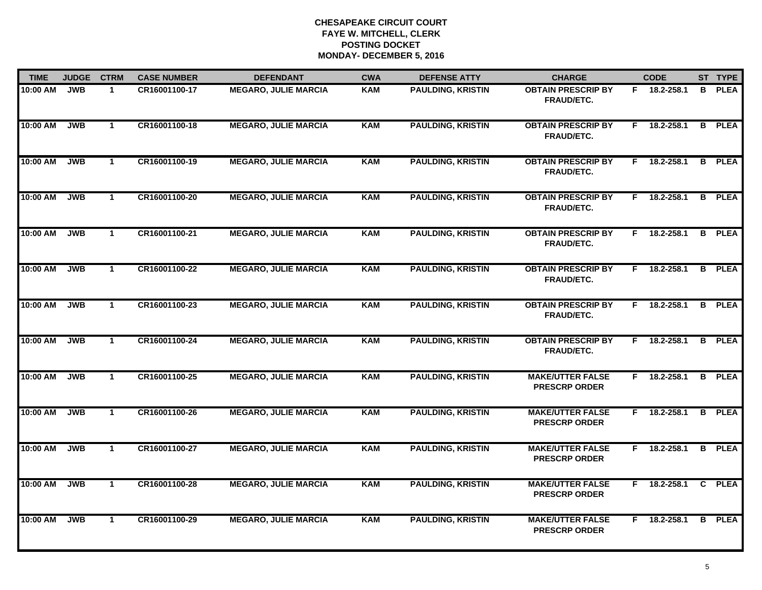| <b>TIME</b> | <b>JUDGE</b> | <b>CTRM</b>  | <b>CASE NUMBER</b> | <b>DEFENDANT</b>            | <b>CWA</b> | <b>DEFENSE ATTY</b>      | <b>CHARGE</b>                                   |    | <b>CODE</b>    |    | ST TYPE       |
|-------------|--------------|--------------|--------------------|-----------------------------|------------|--------------------------|-------------------------------------------------|----|----------------|----|---------------|
| 10:00 AM    | <b>JWB</b>   | $\mathbf{1}$ | CR16001100-17      | <b>MEGARO, JULIE MARCIA</b> | <b>KAM</b> | <b>PAULDING, KRISTIN</b> | <b>OBTAIN PRESCRIP BY</b><br>FRAUD/ETC.         |    | F 18.2-258.1   | B. | <b>PLEA</b>   |
| 10:00 AM    | <b>JWB</b>   | $\mathbf{1}$ | CR16001100-18      | <b>MEGARO, JULIE MARCIA</b> | <b>KAM</b> | <b>PAULDING, KRISTIN</b> | <b>OBTAIN PRESCRIP BY</b><br><b>FRAUD/ETC.</b>  | F. | 18.2-258.1     |    | <b>B</b> PLEA |
| 10:00 AM    | <b>JWB</b>   | $\mathbf{1}$ | CR16001100-19      | <b>MEGARO, JULIE MARCIA</b> | <b>KAM</b> | <b>PAULDING, KRISTIN</b> | <b>OBTAIN PRESCRIP BY</b><br>FRAUD/ETC.         | F. | 18.2-258.1     |    | <b>B</b> PLEA |
| 10:00 AM    | <b>JWB</b>   | $\mathbf 1$  | CR16001100-20      | <b>MEGARO, JULIE MARCIA</b> | <b>KAM</b> | <b>PAULDING, KRISTIN</b> | <b>OBTAIN PRESCRIP BY</b><br><b>FRAUD/ETC.</b>  |    | F 18.2-258.1   |    | <b>B</b> PLEA |
| 10:00 AM    | <b>JWB</b>   | $\mathbf{1}$ | CR16001100-21      | <b>MEGARO, JULIE MARCIA</b> | <b>KAM</b> | <b>PAULDING, KRISTIN</b> | <b>OBTAIN PRESCRIP BY</b><br>FRAUD/ETC.         |    | $F$ 18.2-258.1 |    | <b>B</b> PLEA |
| 10:00 AM    | <b>JWB</b>   | $\mathbf{1}$ | CR16001100-22      | <b>MEGARO, JULIE MARCIA</b> | <b>KAM</b> | <b>PAULDING, KRISTIN</b> | <b>OBTAIN PRESCRIP BY</b><br><b>FRAUD/ETC.</b>  |    | $F$ 18.2-258.1 |    | <b>B</b> PLEA |
| 10:00 AM    | <b>JWB</b>   | $\mathbf{1}$ | CR16001100-23      | <b>MEGARO, JULIE MARCIA</b> | <b>KAM</b> | <b>PAULDING, KRISTIN</b> | <b>OBTAIN PRESCRIP BY</b><br>FRAUD/ETC.         | F. | 18.2-258.1     | B  | <b>PLEA</b>   |
| 10:00 AM    | <b>JWB</b>   | $\mathbf{1}$ | CR16001100-24      | <b>MEGARO, JULIE MARCIA</b> | <b>KAM</b> | <b>PAULDING, KRISTIN</b> | <b>OBTAIN PRESCRIP BY</b><br>FRAUD/ETC.         | F. | 18.2-258.1     |    | <b>B</b> PLEA |
| 10:00 AM    | <b>JWB</b>   | $\mathbf 1$  | CR16001100-25      | <b>MEGARO, JULIE MARCIA</b> | KAM        | <b>PAULDING, KRISTIN</b> | <b>MAKE/UTTER FALSE</b><br><b>PRESCRP ORDER</b> |    | F 18.2-258.1   |    | <b>B</b> PLEA |
| 10:00 AM    | <b>JWB</b>   | $\mathbf{1}$ | CR16001100-26      | <b>MEGARO, JULIE MARCIA</b> | <b>KAM</b> | <b>PAULDING, KRISTIN</b> | <b>MAKE/UTTER FALSE</b><br><b>PRESCRP ORDER</b> |    | $F$ 18.2-258.1 |    | <b>B</b> PLEA |
| 10:00 AM    | <b>JWB</b>   | $\mathbf{1}$ | CR16001100-27      | <b>MEGARO, JULIE MARCIA</b> | <b>KAM</b> | <b>PAULDING, KRISTIN</b> | <b>MAKE/UTTER FALSE</b><br><b>PRESCRP ORDER</b> |    | F 18.2-258.1   |    | <b>B</b> PLEA |
| 10:00 AM    | <b>JWB</b>   | $\mathbf 1$  | CR16001100-28      | <b>MEGARO, JULIE MARCIA</b> | <b>KAM</b> | <b>PAULDING, KRISTIN</b> | <b>MAKE/UTTER FALSE</b><br><b>PRESCRP ORDER</b> | F. | 18.2-258.1     |    | C PLEA        |
| 10:00 AM    | <b>JWB</b>   | $\mathbf{1}$ | CR16001100-29      | <b>MEGARO, JULIE MARCIA</b> | <b>KAM</b> | <b>PAULDING, KRISTIN</b> | <b>MAKE/UTTER FALSE</b><br><b>PRESCRP ORDER</b> | F. | 18.2-258.1     |    | <b>B</b> PLEA |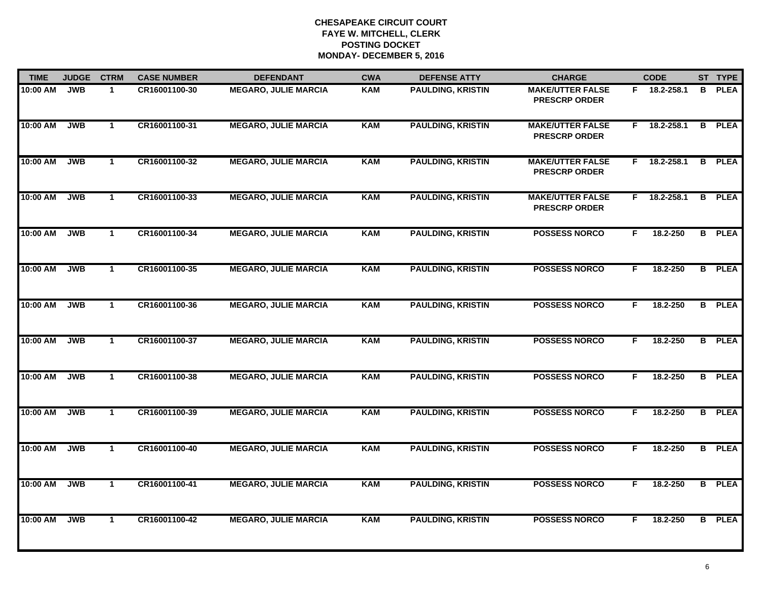| <b>TIME</b> | <b>JUDGE</b> | <b>CTRM</b>  | <b>CASE NUMBER</b> | <b>DEFENDANT</b>            | <b>CWA</b> | <b>DEFENSE ATTY</b>      | <b>CHARGE</b>                                   |    | <b>CODE</b>    |    | ST TYPE       |
|-------------|--------------|--------------|--------------------|-----------------------------|------------|--------------------------|-------------------------------------------------|----|----------------|----|---------------|
| 10:00 AM    | <b>JWB</b>   | $\mathbf{1}$ | CR16001100-30      | <b>MEGARO, JULIE MARCIA</b> | <b>KAM</b> | <b>PAULDING, KRISTIN</b> | <b>MAKE/UTTER FALSE</b><br><b>PRESCRP ORDER</b> |    | F 18.2-258.1   | B. | <b>PLEA</b>   |
| 10:00 AM    | <b>JWB</b>   | $\mathbf{1}$ | CR16001100-31      | <b>MEGARO, JULIE MARCIA</b> | <b>KAM</b> | <b>PAULDING, KRISTIN</b> | <b>MAKE/UTTER FALSE</b><br><b>PRESCRP ORDER</b> | F. | 18.2-258.1     |    | <b>B</b> PLEA |
| 10:00 AM    | <b>JWB</b>   | $\mathbf{1}$ | CR16001100-32      | <b>MEGARO, JULIE MARCIA</b> | <b>KAM</b> | <b>PAULDING, KRISTIN</b> | <b>MAKE/UTTER FALSE</b><br><b>PRESCRP ORDER</b> | F. | 18.2-258.1     |    | <b>B</b> PLEA |
| 10:00 AM    | <b>JWB</b>   | $\mathbf{1}$ | CR16001100-33      | <b>MEGARO, JULIE MARCIA</b> | <b>KAM</b> | <b>PAULDING, KRISTIN</b> | <b>MAKE/UTTER FALSE</b><br><b>PRESCRP ORDER</b> |    | $F$ 18.2-258.1 |    | <b>B</b> PLEA |
| 10:00 AM    | <b>JWB</b>   | $\mathbf 1$  | CR16001100-34      | <b>MEGARO, JULIE MARCIA</b> | <b>KAM</b> | <b>PAULDING, KRISTIN</b> | <b>POSSESS NORCO</b>                            | F. | 18.2-250       |    | <b>B</b> PLEA |
| 10:00 AM    | <b>JWB</b>   | $\mathbf{1}$ | CR16001100-35      | <b>MEGARO, JULIE MARCIA</b> | <b>KAM</b> | <b>PAULDING, KRISTIN</b> | <b>POSSESS NORCO</b>                            | F. | 18.2-250       |    | <b>B</b> PLEA |
| 10:00 AM    | <b>JWB</b>   | $\mathbf{1}$ | CR16001100-36      | <b>MEGARO, JULIE MARCIA</b> | <b>KAM</b> | <b>PAULDING, KRISTIN</b> | <b>POSSESS NORCO</b>                            | F. | 18.2-250       |    | <b>B</b> PLEA |
| 10:00 AM    | <b>JWB</b>   | $\mathbf{1}$ | CR16001100-37      | <b>MEGARO, JULIE MARCIA</b> | <b>KAM</b> | <b>PAULDING, KRISTIN</b> | <b>POSSESS NORCO</b>                            | F. | 18.2-250       |    | <b>B</b> PLEA |
| 10:00 AM    | <b>JWB</b>   | $\mathbf{1}$ | CR16001100-38      | <b>MEGARO, JULIE MARCIA</b> | <b>KAM</b> | <b>PAULDING, KRISTIN</b> | <b>POSSESS NORCO</b>                            | F. | 18.2-250       |    | <b>B</b> PLEA |
| 10:00 AM    | <b>JWB</b>   | $\mathbf{1}$ | CR16001100-39      | <b>MEGARO, JULIE MARCIA</b> | <b>KAM</b> | <b>PAULDING, KRISTIN</b> | <b>POSSESS NORCO</b>                            | F. | 18.2-250       |    | <b>B</b> PLEA |
| 10:00 AM    | <b>JWB</b>   | $\mathbf{1}$ | CR16001100-40      | <b>MEGARO, JULIE MARCIA</b> | <b>KAM</b> | <b>PAULDING, KRISTIN</b> | <b>POSSESS NORCO</b>                            | F. | 18.2-250       |    | <b>B</b> PLEA |
| 10:00 AM    | <b>JWB</b>   | $\mathbf{1}$ | CR16001100-41      | <b>MEGARO, JULIE MARCIA</b> | <b>KAM</b> | <b>PAULDING, KRISTIN</b> | <b>POSSESS NORCO</b>                            | F. | 18.2-250       |    | <b>B</b> PLEA |
| 10:00 AM    | <b>JWB</b>   | $\mathbf{1}$ | CR16001100-42      | <b>MEGARO, JULIE MARCIA</b> | <b>KAM</b> | <b>PAULDING, KRISTIN</b> | <b>POSSESS NORCO</b>                            | F. | 18.2-250       |    | <b>B</b> PLEA |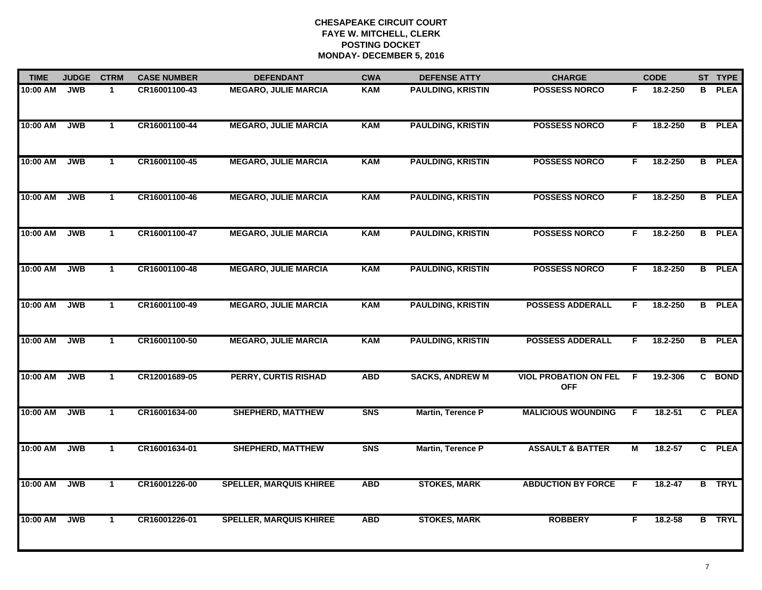| <b>TIME</b> | <b>JUDGE</b> | <b>CTRM</b>  | <b>CASE NUMBER</b> | <b>DEFENDANT</b>               | <b>CWA</b> | <b>DEFENSE ATTY</b>      | <b>CHARGE</b>                              |    | <b>CODE</b> |   | ST TYPE       |
|-------------|--------------|--------------|--------------------|--------------------------------|------------|--------------------------|--------------------------------------------|----|-------------|---|---------------|
| 10:00 AM    | <b>JWB</b>   | $\mathbf{1}$ | CR16001100-43      | <b>MEGARO, JULIE MARCIA</b>    | <b>KAM</b> | <b>PAULDING, KRISTIN</b> | <b>POSSESS NORCO</b>                       | F. | 18.2-250    | B | <b>PLEA</b>   |
| 10:00 AM    | <b>JWB</b>   | $\mathbf{1}$ | CR16001100-44      | <b>MEGARO, JULIE MARCIA</b>    | <b>KAM</b> | <b>PAULDING, KRISTIN</b> | <b>POSSESS NORCO</b>                       | F. | 18.2-250    |   | <b>B</b> PLEA |
| 10:00 AM    | <b>JWB</b>   | $\mathbf{1}$ | CR16001100-45      | <b>MEGARO, JULIE MARCIA</b>    | <b>KAM</b> | <b>PAULDING, KRISTIN</b> | <b>POSSESS NORCO</b>                       | F. | 18.2-250    |   | <b>B</b> PLEA |
| 10:00 AM    | <b>JWB</b>   | $\mathbf 1$  | CR16001100-46      | <b>MEGARO, JULIE MARCIA</b>    | <b>KAM</b> | <b>PAULDING, KRISTIN</b> | <b>POSSESS NORCO</b>                       | F. | 18.2-250    |   | <b>B</b> PLEA |
| 10:00 AM    | <b>JWB</b>   | $\mathbf{1}$ | CR16001100-47      | <b>MEGARO, JULIE MARCIA</b>    | <b>KAM</b> | <b>PAULDING, KRISTIN</b> | <b>POSSESS NORCO</b>                       | F. | 18.2-250    |   | <b>B</b> PLEA |
| 10:00 AM    | <b>JWB</b>   | $\mathbf{1}$ | CR16001100-48      | <b>MEGARO, JULIE MARCIA</b>    | <b>KAM</b> | <b>PAULDING, KRISTIN</b> | <b>POSSESS NORCO</b>                       | F. | 18.2-250    |   | <b>B</b> PLEA |
| 10:00 AM    | <b>JWB</b>   | $\mathbf{1}$ | CR16001100-49      | <b>MEGARO, JULIE MARCIA</b>    | <b>KAM</b> | <b>PAULDING, KRISTIN</b> | <b>POSSESS ADDERALL</b>                    | F. | 18.2-250    |   | <b>B</b> PLEA |
| 10:00 AM    | <b>JWB</b>   | $\mathbf{1}$ | CR16001100-50      | <b>MEGARO, JULIE MARCIA</b>    | <b>KAM</b> | <b>PAULDING, KRISTIN</b> | <b>POSSESS ADDERALL</b>                    | F. | 18.2-250    |   | <b>B</b> PLEA |
| 10:00 AM    | <b>JWB</b>   | $\mathbf{1}$ | CR12001689-05      | <b>PERRY, CURTIS RISHAD</b>    | <b>ABD</b> | <b>SACKS, ANDREW M</b>   | <b>VIOL PROBATION ON FEL</b><br><b>OFF</b> | E  | 19.2-306    |   | C BOND        |
| 10:00 AM    | <b>JWB</b>   | $\mathbf{1}$ | CR16001634-00      | <b>SHEPHERD, MATTHEW</b>       | <b>SNS</b> | <b>Martin, Terence P</b> | <b>MALICIOUS WOUNDING</b>                  | F  | 18.2-51     |   | C PLEA        |
| 10:00 AM    | <b>JWB</b>   | $\mathbf{1}$ | CR16001634-01      | <b>SHEPHERD, MATTHEW</b>       | <b>SNS</b> | <b>Martin, Terence P</b> | <b>ASSAULT &amp; BATTER</b>                | М  | $18.2 - 57$ |   | C PLEA        |
| 10:00 AM    | <b>JWB</b>   | $\mathbf{1}$ | CR16001226-00      | <b>SPELLER, MARQUIS KHIREE</b> | <b>ABD</b> | <b>STOKES, MARK</b>      | <b>ABDUCTION BY FORCE</b>                  | F  | 18.2-47     |   | <b>B</b> TRYL |
| 10:00 AM    | <b>JWB</b>   | $\mathbf{1}$ | CR16001226-01      | <b>SPELLER, MARQUIS KHIREE</b> | <b>ABD</b> | <b>STOKES, MARK</b>      | <b>ROBBERY</b>                             | F. | 18.2-58     |   | <b>B</b> TRYL |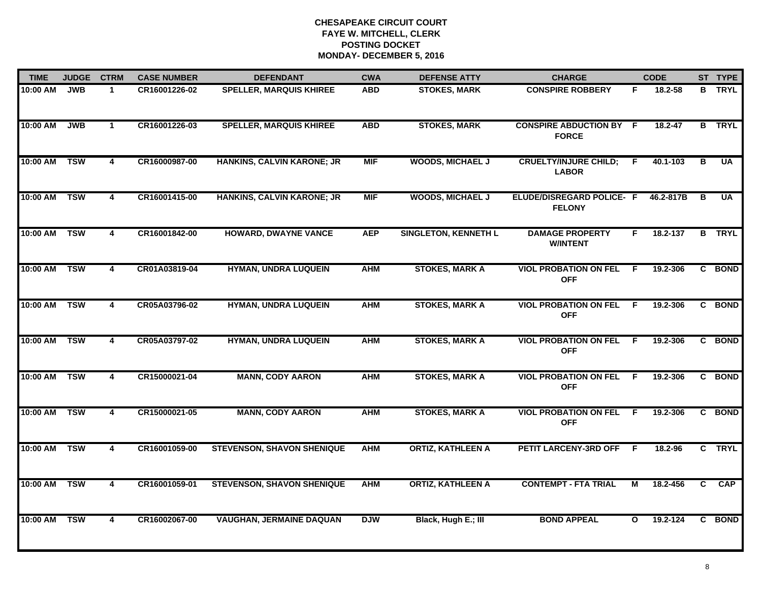| <b>TIME</b> | <b>JUDGE</b> | <b>CTRM</b>             | <b>CASE NUMBER</b> | <b>DEFENDANT</b>                  | <b>CWA</b> | <b>DEFENSE ATTY</b>         | <b>CHARGE</b>                                  |              | <b>CODE</b> |                         | ST TYPE       |
|-------------|--------------|-------------------------|--------------------|-----------------------------------|------------|-----------------------------|------------------------------------------------|--------------|-------------|-------------------------|---------------|
| 10:00 AM    | <b>JWB</b>   | $\mathbf{1}$            | CR16001226-02      | <b>SPELLER, MARQUIS KHIREE</b>    | <b>ABD</b> | <b>STOKES, MARK</b>         | <b>CONSPIRE ROBBERY</b>                        | F            | 18.2-58     |                         | <b>B</b> TRYL |
| 10:00 AM    | <b>JWB</b>   | $\mathbf{1}$            | CR16001226-03      | <b>SPELLER, MARQUIS KHIREE</b>    | <b>ABD</b> | <b>STOKES, MARK</b>         | <b>CONSPIRE ABDUCTION BY F</b><br><b>FORCE</b> |              | $18.2 - 47$ |                         | <b>B</b> TRYL |
| 10:00 AM    | <b>TSW</b>   | $\overline{4}$          | CR16000987-00      | HANKINS, CALVIN KARONE; JR        | <b>MIF</b> | <b>WOODS, MICHAEL J</b>     | <b>CRUELTY/INJURE CHILD;</b><br><b>LABOR</b>   | E            | 40.1-103    | $\overline{\mathbf{B}}$ | <b>UA</b>     |
| 10:00 AM    | <b>TSW</b>   | 4                       | CR16001415-00      | HANKINS, CALVIN KARONE; JR        | <b>MIF</b> | <b>WOODS, MICHAEL J</b>     | ELUDE/DISREGARD POLICE- F<br><b>FELONY</b>     |              | 46.2-817B   | В                       | <b>UA</b>     |
| 10:00 AM    | <b>TSW</b>   | 4                       | CR16001842-00      | <b>HOWARD, DWAYNE VANCE</b>       | <b>AEP</b> | <b>SINGLETON, KENNETH L</b> | <b>DAMAGE PROPERTY</b><br><b>W/INTENT</b>      | F.           | 18.2-137    |                         | <b>B</b> TRYL |
| 10:00 AM    | <b>TSW</b>   | 4                       | CR01A03819-04      | <b>HYMAN, UNDRA LUQUEIN</b>       | <b>AHM</b> | <b>STOKES, MARK A</b>       | <b>VIOL PROBATION ON FEL</b><br><b>OFF</b>     | -F           | 19.2-306    |                         | C BOND        |
| 10:00 AM    | <b>TSW</b>   | $\overline{4}$          | CR05A03796-02      | <b>HYMAN, UNDRA LUQUEIN</b>       | <b>AHM</b> | <b>STOKES, MARK A</b>       | <b>VIOL PROBATION ON FEL</b><br><b>OFF</b>     | - F          | 19.2-306    |                         | C BOND        |
| 10:00 AM    | <b>TSW</b>   | 4                       | CR05A03797-02      | <b>HYMAN, UNDRA LUQUEIN</b>       | <b>AHM</b> | <b>STOKES, MARK A</b>       | <b>VIOL PROBATION ON FEL</b><br><b>OFF</b>     | E            | 19.2-306    |                         | C BOND        |
| 10:00 AM    | <b>TSW</b>   | 4                       | CR15000021-04      | <b>MANN, CODY AARON</b>           | <b>AHM</b> | <b>STOKES, MARK A</b>       | <b>VIOL PROBATION ON FEL</b><br><b>OFF</b>     | -F           | 19.2-306    |                         | C BOND        |
| 10:00 AM    | <b>TSW</b>   | 4                       | CR15000021-05      | <b>MANN, CODY AARON</b>           | <b>AHM</b> | <b>STOKES, MARK A</b>       | <b>VIOL PROBATION ON FEL</b><br><b>OFF</b>     | F.           | 19.2-306    |                         | C BOND        |
| 10:00 AM    | <b>TSW</b>   | $\overline{4}$          | CR16001059-00      | <b>STEVENSON, SHAVON SHENIQUE</b> | <b>AHM</b> | <b>ORTIZ, KATHLEEN A</b>    | PETIT LARCENY-3RD OFF F                        |              | 18.2-96     |                         | C TRYL        |
| 10:00 AM    | <b>TSW</b>   | $\overline{\mathbf{4}}$ | CR16001059-01      | <b>STEVENSON, SHAVON SHENIQUE</b> | <b>AHM</b> | <b>ORTIZ, KATHLEEN A</b>    | <b>CONTEMPT - FTA TRIAL</b>                    | М            | 18.2-456    | C                       | <b>CAP</b>    |
| 10:00 AM    | <b>TSW</b>   | $\overline{4}$          | CR16002067-00      | <b>VAUGHAN, JERMAINE DAQUAN</b>   | <b>DJW</b> | Black, Hugh E.; III         | <b>BOND APPEAL</b>                             | $\mathbf{o}$ | 19.2-124    |                         | C BOND        |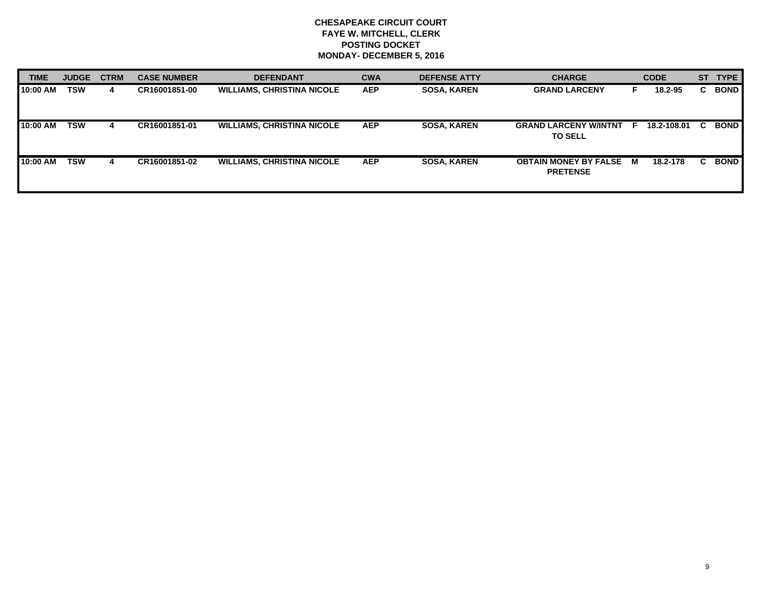| <b>TIME</b> | <b>JUDGE</b> | <b>CTRM</b> | <b>CASE NUMBER</b> | <b>DEFENDANT</b>                  | <b>CWA</b> | <b>DEFENSE ATTY</b> | <b>CHARGE</b>                                   |    | <b>CODE</b> | <b>ST</b> | <b>TYPE</b> |
|-------------|--------------|-------------|--------------------|-----------------------------------|------------|---------------------|-------------------------------------------------|----|-------------|-----------|-------------|
| 10:00 AM    | <b>TSW</b>   | 4           | CR16001851-00      | <b>WILLIAMS, CHRISTINA NICOLE</b> | <b>AEP</b> | <b>SOSA, KAREN</b>  | <b>GRAND LARCENY</b>                            |    | 18.2-95     | C.        | <b>BOND</b> |
| 10:00 AM    | <b>TSW</b>   |             | CR16001851-01      | <b>WILLIAMS, CHRISTINA NICOLE</b> | <b>AEP</b> | <b>SOSA, KAREN</b>  | <b>GRAND LARCENY W/INTNT</b><br><b>TO SELL</b>  | E. | 18.2-108.01 |           | <b>BOND</b> |
| 10:00 AM    | <b>TSW</b>   | 4           | CR16001851-02      | <b>WILLIAMS, CHRISTINA NICOLE</b> | <b>AEP</b> | <b>SOSA, KAREN</b>  | <b>OBTAIN MONEY BY FALSE</b><br><b>PRETENSE</b> | M  | 18.2-178    | C.        | <b>BOND</b> |